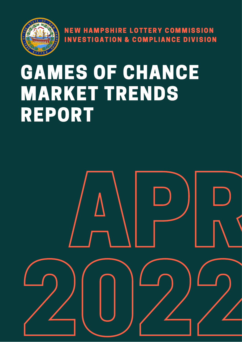

NEW HAMPSHIRE LOTTERY COMMISSION INVESTIGATION & COMPLIANCE DIVISION

# GAMES OF CHANCE MARKET TRENDS REPORT

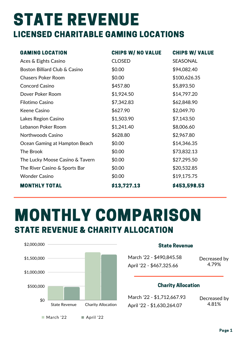## STATE REVENUE LICENSED CHARITABLE GAMING LOCATIONS

| <b>GAMING LOCATION</b>          | <b>CHIPS W/ NO VALUE</b> | <b>CHIPS W/ VALUE</b> |
|---------------------------------|--------------------------|-----------------------|
| Aces & Eights Casino            | <b>CLOSED</b>            | <b>SEASONAL</b>       |
| Boston Billiard Club & Casino   | \$0.00                   | \$94,082.40           |
| <b>Chasers Poker Room</b>       | \$0.00                   | \$100,626.35          |
| <b>Concord Casino</b>           | \$457.80                 | \$5,893.50            |
| Dover Poker Room                | \$1,924.50               | \$14,797.20           |
| Filotimo Casino                 | \$7,342.83               | \$62,848.90           |
| <b>Keene Casino</b>             | \$627.90                 | \$2,049.70            |
| Lakes Region Casino             | \$1,503.90               | \$7,143.50            |
| Lebanon Poker Room              | \$1,241.40               | \$8,006.60            |
| Northwoods Casino               | \$628.80                 | \$2,967.80            |
| Ocean Gaming at Hampton Beach   | \$0.00                   | \$14,346.35           |
| The Brook                       | \$0.00                   | \$73,832.13           |
| The Lucky Moose Casino & Tavern | \$0.00                   | \$27,295.50           |
| The River Casino & Sports Bar   | \$0.00                   | \$20,532.85           |
| <b>Wonder Casino</b>            | \$0.00                   | \$19,175.75           |
| <b>MONTHLY TOTAL</b>            | \$13,727.13              | \$453,598.53          |

### MONTHLY COMPARISON STATE REVENUE & CHARITY ALLOCATION



#### State Revenue

March '22 - \$490,845.58 April '22 - \$467,325.66

Decreased by 4.79%

#### Charity Allocation

March '22 - \$1,712,667.93 April '22 - \$1,630,264.07

Decreased by 4.81%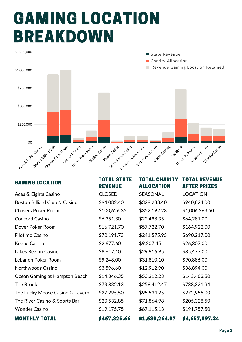## GAMING LOCATION BREAKDOWN



| <b>GAMING LOCATION</b>          | <b>TOTAL STATE</b><br><b>REVENUE</b> | <b>TOTAL CHARITY</b><br><b>ALLOCATION</b> | <b>TOTAL REVENUE</b><br><b>AFTER PRIZES</b> |
|---------------------------------|--------------------------------------|-------------------------------------------|---------------------------------------------|
| Aces & Eights Casino            | <b>CLOSED</b>                        | <b>SEASONAL</b>                           | <b>LOCATION</b>                             |
| Boston Billiard Club & Casino   | \$94,082.40                          | \$329,288.40                              | \$940,824.00                                |
| <b>Chasers Poker Room</b>       | \$100,626.35                         | \$352,192.23                              | \$1,006,263.50                              |
| <b>Concord Casino</b>           | \$6,351.30                           | \$22,498.35                               | \$64,281.00                                 |
| Dover Poker Room                | \$16,721.70                          | \$57,722.70                               | \$164,922.00                                |
| Filotimo Casino                 | \$70,191.73                          | \$241,575.95                              | \$690,217.00                                |
| <b>Keene Casino</b>             | \$2,677.60                           | \$9,207.45                                | \$26,307.00                                 |
| Lakes Region Casino             | \$8,647.40                           | \$29,916.95                               | \$85,477.00                                 |
| Lebanon Poker Room              | \$9,248.00                           | \$31,810.10                               | \$90,886.00                                 |
| <b>Northwoods Casino</b>        | \$3,596.60                           | \$12,912.90                               | \$36,894.00                                 |
| Ocean Gaming at Hampton Beach   | \$14,346.35                          | \$50,212.23                               | \$143,463.50                                |
| The Brook                       | \$73,832.13                          | \$258,412.47                              | \$738,321.34                                |
| The Lucky Moose Casino & Tavern | \$27,295.50                          | \$95,534.25                               | \$272,955.00                                |
| The River Casino & Sports Bar   | \$20,532.85                          | \$71,864.98                               | \$205,328.50                                |
| <b>Wonder Casino</b>            | \$19,175.75                          | \$67,115.13                               | \$191,757.50                                |
| <b>MONTHLY TOTAL</b>            | \$467,325.66                         | \$1,630,264.07                            | \$4,657,897.34                              |